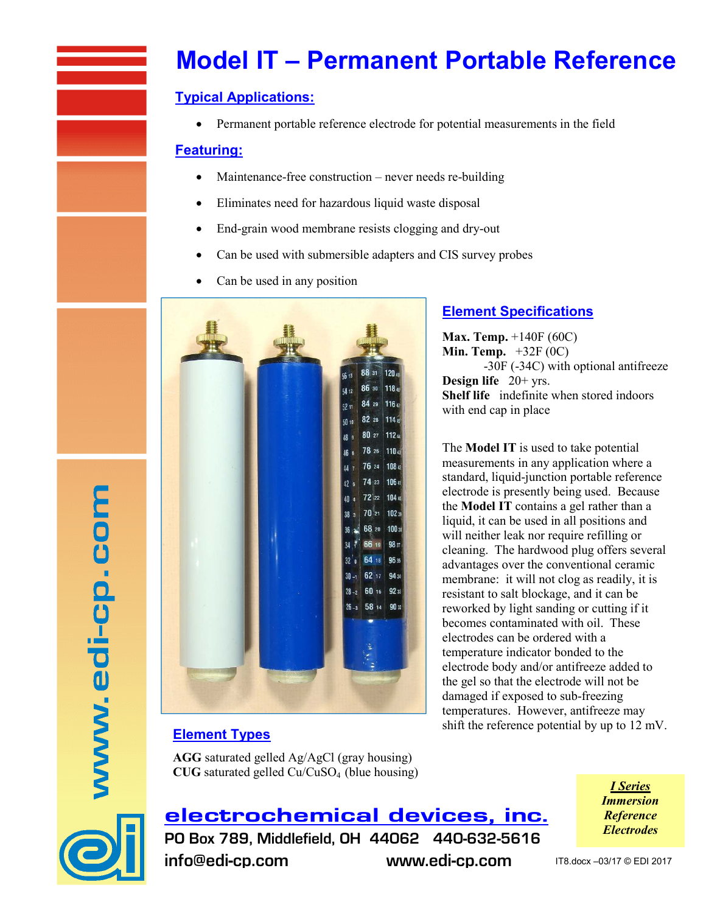# **Model IT – Permanent Portable Reference**

### **Typical Applications:**

• Permanent portable reference electrode for potential measurements in the field

#### **Featuring:**

- Maintenance-free construction never needs re-building
- Eliminates need for hazardous liquid waste disposal
- End-grain wood membrane resists clogging and dry-out
- Can be used with submersible adapters and CIS survey probes
- Can be used in any position



## **Element Specifications**

**Max. Temp.** +140F (60C) **Min. Temp.** +32F (0C) -30F (-34C) with optional antifreeze **Design life** 20+ yrs. **Shelf life** indefinite when stored indoors with end cap in place

The **Model IT** is used to take potential measurements in any application where a standard, liquid-junction portable reference electrode is presently being used. Because the **Model IT** contains a gel rather than a liquid, it can be used in all positions and will neither leak nor require refilling or cleaning. The hardwood plug offers several advantages over the conventional ceramic membrane: it will not clog as readily, it is resistant to salt blockage, and it can be reworked by light sanding or cutting if it becomes contaminated with oil. These electrodes can be ordered with a temperature indicator bonded to the electrode body and/or antifreeze added to the gel so that the electrode will not be damaged if exposed to sub-freezing temperatures. However, antifreeze may shift the reference potential by up to 12 mV.

## **Element Types**

**AGG** saturated gelled Ag/AgCl (gray housing) **CUG** saturated gelled Cu/CuSO4 (blue housing)



www.edi-cp.com

electrochemical devices, inc. PO Box 789, Middlefield, OH 44062 440-632-5616 info@edi-cp.com www.edi-cp.com

*I Series Immersion Reference Electrodes*

IT8.docx –03/17 © EDI 2017